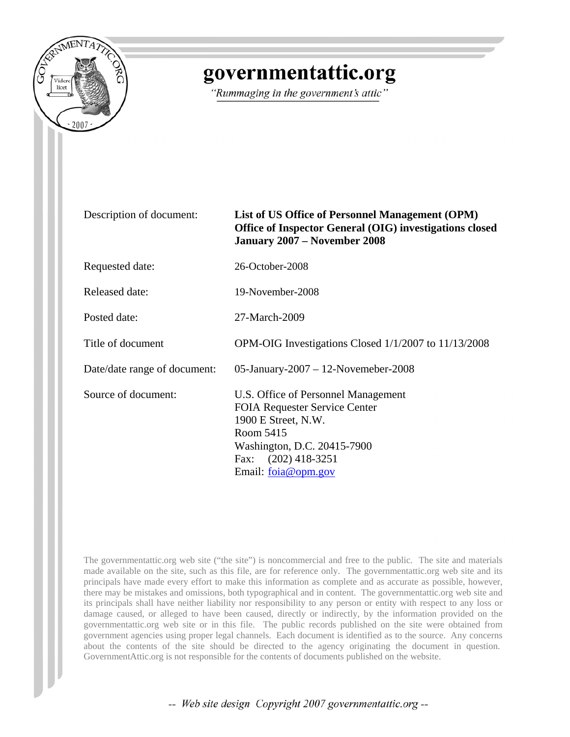

## governmentattic.org

"Rummaging in the government's attic"

## Description of document: **List of US Office of Personnel Management (OPM) Office of Inspector General (OIG) investigations closed January 2007 – November 2008**

Requested date: 26-October-2008

Released date: 19-November-2008

Posted date: 27-March-2009

Title of document OPM-OIG Investigations Closed 1/1/2007 to 11/13/2008

Date/date range of document: 05-January-2007 – 12-Novemeber-2008

Source of document: U.S. Office of Personnel Management FOIA Requester Service Center 1900 E Street, N.W. Room 5415 Washington, D.C. 20415-7900 Fax: (202) 418-3251 Email: [foia@opm.gov](mailto:foia@opm.gov)

The governmentattic.org web site ("the site") is noncommercial and free to the public. The site and materials made available on the site, such as this file, are for reference only. The governmentattic.org web site and its principals have made every effort to make this information as complete and as accurate as possible, however, there may be mistakes and omissions, both typographical and in content. The governmentattic.org web site and its principals shall have neither liability nor responsibility to any person or entity with respect to any loss or damage caused, or alleged to have been caused, directly or indirectly, by the information provided on the governmentattic.org web site or in this file. The public records published on the site were obtained from government agencies using proper legal channels. Each document is identified as to the source. Any concerns about the contents of the site should be directed to the agency originating the document in question. GovernmentAttic.org is not responsible for the contents of documents published on the website.

-- Web site design Copyright 2007 governmentattic.org --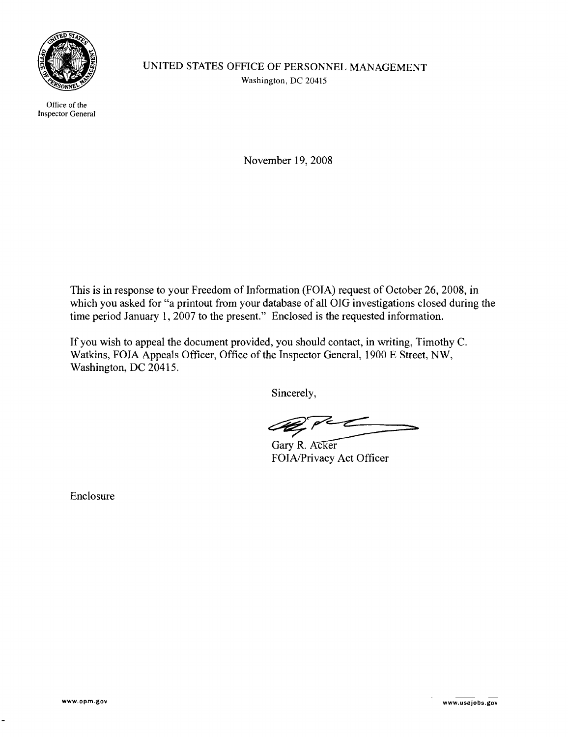

Office of the Inspector General UNITED STATES OFFICE OF PERSONNEL MANAGEMENT Washington, DC 20415

November 19,2008

This is in response to your Freedom of Information (FOIA) request of October 26, 2008, in which you asked for "a printout from your database of all OIG investigations closed during the time period January 1, 2007 to the present." Enclosed is the requested information.

If you wish to appeal the document provided, you should contact, in writing, Timothy C. Watkins, FOIA Appeals Officer, Office of the Inspector General, 1900 E Street, NW, Washington, DC 20415.

Sincerely,

Gary R. Acker<br>FOIA/Privacy Act Officer

Enclosure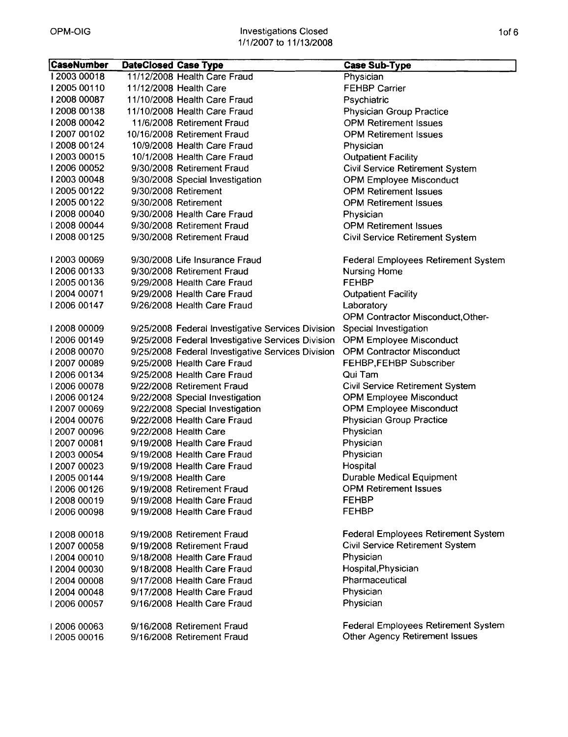| CaseNumber  | <b>DateClosed Case Type</b> |                                                   | <b>Case Sub-Type</b>                       |
|-------------|-----------------------------|---------------------------------------------------|--------------------------------------------|
| 12003 00018 |                             | 11/12/2008 Health Care Fraud                      | Physician                                  |
| 12005 00110 |                             | 11/12/2008 Health Care                            | <b>FEHBP Carrier</b>                       |
| 12008 00087 |                             | 11/10/2008 Health Care Fraud                      | Psychiatric                                |
| 12008 00138 |                             | 11/10/2008 Health Care Fraud                      | <b>Physician Group Practice</b>            |
| 12008 00042 |                             | 11/6/2008 Retirement Fraud                        | <b>OPM Retirement Issues</b>               |
| 12007 00102 |                             | 10/16/2008 Retirement Fraud                       | <b>OPM Retirement Issues</b>               |
| 12008 00124 |                             | 10/9/2008 Health Care Fraud                       | Physician                                  |
| 12003 00015 |                             | 10/1/2008 Health Care Fraud                       | <b>Outpatient Facility</b>                 |
| 12006 00052 |                             | 9/30/2008 Retirement Fraud                        | <b>Civil Service Retirement System</b>     |
| 1200300048  |                             | 9/30/2008 Special Investigation                   | <b>OPM Employee Misconduct</b>             |
| 12005 00122 |                             | 9/30/2008 Retirement                              | <b>OPM Retirement Issues</b>               |
| 12005 00122 |                             | 9/30/2008 Retirement                              | <b>OPM Retirement Issues</b>               |
| 12008 00040 |                             | 9/30/2008 Health Care Fraud                       | Physician                                  |
| 12008 00044 |                             | 9/30/2008 Retirement Fraud                        | <b>OPM Retirement Issues</b>               |
| 12008 00125 |                             | 9/30/2008 Retirement Fraud                        | <b>Civil Service Retirement System</b>     |
|             |                             |                                                   |                                            |
| 1200300069  |                             | 9/30/2008 Life Insurance Fraud                    | <b>Federal Employees Retirement System</b> |
| 12006 00133 |                             | 9/30/2008 Retirement Fraud                        | <b>Nursing Home</b>                        |
| 12005 00136 |                             | 9/29/2008 Health Care Fraud                       | <b>FEHBP</b>                               |
| 2004 00071  |                             | 9/29/2008 Health Care Fraud                       | <b>Outpatient Facility</b>                 |
| 12006 00147 |                             | 9/26/2008 Health Care Fraud                       | Laboratory                                 |
|             |                             |                                                   | OPM Contractor Misconduct, Other-          |
| 1200800009  |                             | 9/25/2008 Federal Investigative Services Division | Special Investigation                      |
| 12006 00149 |                             | 9/25/2008 Federal Investigative Services Division | <b>OPM Employee Misconduct</b>             |
| 12008 00070 |                             | 9/25/2008 Federal Investigative Services Division | <b>OPM Contractor Misconduct</b>           |
| 1200700089  |                             | 9/25/2008 Health Care Fraud                       | FEHBP, FEHBP Subscriber                    |
| 12006 00134 |                             | 9/25/2008 Health Care Fraud                       | Qui Tam                                    |
| 12006 00078 |                             | 9/22/2008 Retirement Fraud                        | Civil Service Retirement System            |
| 12006 00124 |                             | 9/22/2008 Special Investigation                   | <b>OPM Employee Misconduct</b>             |
| 1200700069  |                             | 9/22/2008 Special Investigation                   | <b>OPM Employee Misconduct</b>             |
| 12004 00076 |                             | 9/22/2008 Health Care Fraud                       | <b>Physician Group Practice</b>            |
| 1200700096  |                             | 9/22/2008 Health Care                             | Physician                                  |
| 12007 00081 |                             | 9/19/2008 Health Care Fraud                       | Physician                                  |
| 12003 00054 |                             | 9/19/2008 Health Care Fraud                       | Physician                                  |
| 1200700023  |                             | 9/19/2008 Health Care Fraud                       | Hospital                                   |
| 12005 00144 |                             | 9/19/2008 Health Care                             | <b>Durable Medical Equipment</b>           |
| 12006 00126 |                             | 9/19/2008 Retirement Fraud                        | <b>OPM Retirement Issues</b>               |
| 12008 00019 |                             | 9/19/2008 Health Care Fraud                       | <b>FEHBP</b>                               |
| 12006 00098 |                             | 9/19/2008 Health Care Fraud                       | <b>FEHBP</b>                               |
| 12008 00018 |                             | 9/19/2008 Retirement Fraud                        | <b>Federal Employees Retirement System</b> |
| 1200700058  |                             | 9/19/2008 Retirement Fraud                        | Civil Service Retirement System            |
| 12004 00010 |                             | 9/18/2008 Health Care Fraud                       | Physician                                  |
| 12004 00030 |                             | 9/18/2008 Health Care Fraud                       | Hospital, Physician                        |
| 12004 00008 |                             | 9/17/2008 Health Care Fraud                       | Pharmaceutical                             |
| 12004 00048 |                             | 9/17/2008 Health Care Fraud                       | Physician                                  |
| 12006 00057 |                             | 9/16/2008 Health Care Fraud                       | Physician                                  |
|             |                             |                                                   |                                            |
| 12006 00063 |                             | 9/16/2008 Retirement Fraud                        | <b>Federal Employees Retirement System</b> |
| 12005 00016 |                             | 9/16/2008 Retirement Fraud                        | Other Agency Retirement Issues             |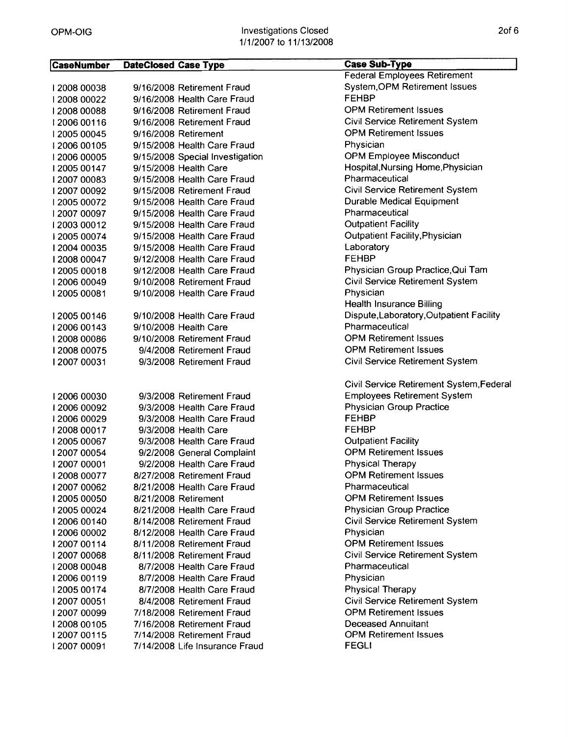| <b>CaseNumber</b> | <b>DateClosed Case Type</b> |                                 | <b>Case Sub-Type</b>                     |
|-------------------|-----------------------------|---------------------------------|------------------------------------------|
|                   |                             |                                 | <b>Federal Employees Retirement</b>      |
| 12008 00038       |                             | 9/16/2008 Retirement Fraud      | System, OPM Retirement Issues            |
| 12008 00022       |                             | 9/16/2008 Health Care Fraud     | <b>FEHBP</b>                             |
| 1200800088        |                             | 9/16/2008 Retirement Fraud      | <b>OPM Retirement Issues</b>             |
| 12006 00116       |                             | 9/16/2008 Retirement Fraud      | Civil Service Retirement System          |
| 12005 00045       |                             | 9/16/2008 Retirement            | <b>OPM Retirement Issues</b>             |
| 12006 00105       |                             | 9/15/2008 Health Care Fraud     | Physician                                |
| 12006 00005       |                             | 9/15/2008 Special Investigation | <b>OPM Employee Misconduct</b>           |
| 12005 00147       |                             | 9/15/2008 Health Care           | Hospital, Nursing Home, Physician        |
| 12007 00083       |                             | 9/15/2008 Health Care Fraud     | Pharmaceutical                           |
| 1200700092        |                             | 9/15/2008 Retirement Fraud      | Civil Service Retirement System          |
| 12005 00072       |                             | 9/15/2008 Health Care Fraud     | Durable Medical Equipment                |
| 12007 00097       |                             | 9/15/2008 Health Care Fraud     | Pharmaceutical                           |
| 12003 00012       |                             | 9/15/2008 Health Care Fraud     | <b>Outpatient Facility</b>               |
| 12005 00074       |                             | 9/15/2008 Health Care Fraud     | <b>Outpatient Facility, Physician</b>    |
| 12004 00035       |                             | 9/15/2008 Health Care Fraud     | Laboratory                               |
| 12008 00047       |                             | 9/12/2008 Health Care Fraud     | <b>FEHBP</b>                             |
| 12005 00018       |                             | 9/12/2008 Health Care Fraud     | Physician Group Practice, Qui Tam        |
| 2006 00049        |                             | 9/10/2008 Retirement Fraud      | Civil Service Retirement System          |
| 12005 00081       |                             | 9/10/2008 Health Care Fraud     | Physician                                |
|                   |                             |                                 | <b>Health Insurance Billing</b>          |
| 12005 00146       |                             | 9/10/2008 Health Care Fraud     | Dispute, Laboratory, Outpatient Facility |
| 12006 00143       |                             | 9/10/2008 Health Care           | Pharmaceutical                           |
| 12008 00086       |                             | 9/10/2008 Retirement Fraud      | <b>OPM Retirement Issues</b>             |
| 12008 00075       |                             | 9/4/2008 Retirement Fraud       | <b>OPM Retirement Issues</b>             |
| 12007 00031       |                             | 9/3/2008 Retirement Fraud       | Civil Service Retirement System          |
|                   |                             |                                 |                                          |
|                   |                             |                                 | Civil Service Retirement System, Federal |
| 12006 00030       |                             | 9/3/2008 Retirement Fraud       | <b>Employees Retirement System</b>       |
| 12006 00092       |                             | 9/3/2008 Health Care Fraud      | <b>Physician Group Practice</b>          |
| 12006 00029       |                             | 9/3/2008 Health Care Fraud      | <b>FEHBP</b>                             |
| 12008 00017       |                             | 9/3/2008 Health Care            | <b>FEHBP</b>                             |
| 12005 00067       |                             | 9/3/2008 Health Care Fraud      | <b>Outpatient Facility</b>               |
| 12007 00054       |                             | 9/2/2008 General Complaint      | <b>OPM Retirement Issues</b>             |
| 2007 00001        |                             | 9/2/2008 Health Care Fraud      | <b>Physical Therapy</b>                  |
| 12008 00077       |                             | 8/27/2008 Retirement Fraud      | <b>OPM Retirement Issues</b>             |
| 1200700062        |                             | 8/21/2008 Health Care Fraud     | Pharmaceutical                           |
| 12005 00050       |                             | 8/21/2008 Retirement            | <b>OPM Retirement Issues</b>             |
| 12005 00024       |                             | 8/21/2008 Health Care Fraud     | <b>Physician Group Practice</b>          |
| 12006 00140       |                             | 8/14/2008 Retirement Fraud      | <b>Civil Service Retirement System</b>   |
| 12006 00002       |                             | 8/12/2008 Health Care Fraud     | Physician                                |
| 1200700114        |                             | 8/11/2008 Retirement Fraud      | <b>OPM Retirement Issues</b>             |
| 1200700068        |                             | 8/11/2008 Retirement Fraud      | Civil Service Retirement System          |
| 12008 00048       |                             | 8/7/2008 Health Care Fraud      | Pharmaceutical                           |
| 12006 00119       |                             | 8/7/2008 Health Care Fraud      | Physician                                |
| 12005 00174       |                             | 8/7/2008 Health Care Fraud      | <b>Physical Therapy</b>                  |
| 12007 00051       |                             | 8/4/2008 Retirement Fraud       | Civil Service Retirement System          |
| 12007 00099       |                             | 7/18/2008 Retirement Fraud      | <b>OPM Retirement Issues</b>             |
| 12008 00105       |                             | 7/16/2008 Retirement Fraud      | <b>Deceased Annuitant</b>                |
| 12007 00115       |                             | 7/14/2008 Retirement Fraud      | <b>OPM Retirement Issues</b>             |
| 12007 00091       |                             | 7/14/2008 Life Insurance Fraud  | <b>FEGLI</b>                             |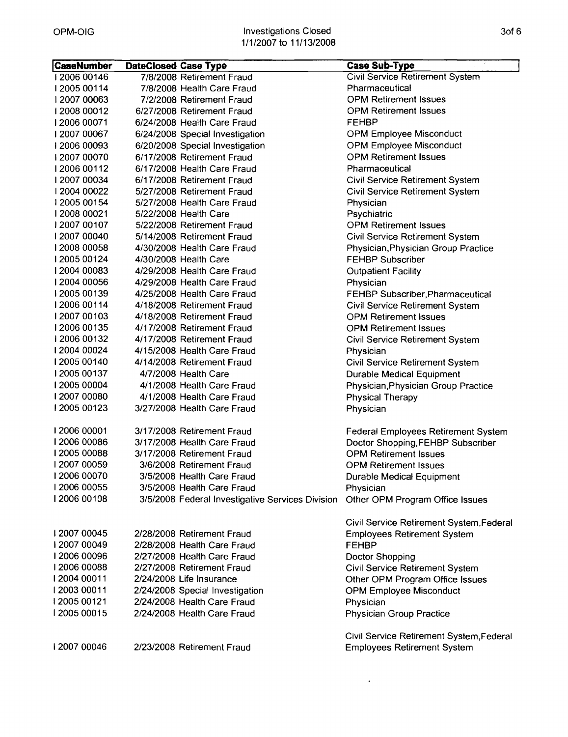| <b>CaseNumber</b> | <b>DateClosed Case Type</b> |                                                  | <b>Case Sub-Type</b>                       |
|-------------------|-----------------------------|--------------------------------------------------|--------------------------------------------|
| 12006 00146       |                             | 7/8/2008 Retirement Fraud                        | <b>Civil Service Retirement System</b>     |
| 12005 00114       |                             | 7/8/2008 Health Care Fraud                       | Pharmaceutical                             |
| 12007 00063       |                             | 7/2/2008 Retirement Fraud                        | <b>OPM Retirement Issues</b>               |
| 12008 00012       |                             | 6/27/2008 Retirement Fraud                       | <b>OPM Retirement Issues</b>               |
| 12006 00071       |                             | 6/24/2008 Health Care Fraud                      | <b>FEHBP</b>                               |
| 1200700067        |                             | 6/24/2008 Special Investigation                  | <b>OPM Employee Misconduct</b>             |
| 12006 00093       |                             | 6/20/2008 Special Investigation                  | <b>OPM Employee Misconduct</b>             |
| 1200700070        |                             | 6/17/2008 Retirement Fraud                       | <b>OPM Retirement Issues</b>               |
| 12006 00112       |                             | 6/17/2008 Health Care Fraud                      | Pharmaceutical                             |
| 1200700034        |                             | 6/17/2008 Retirement Fraud                       | Civil Service Retirement System            |
| 12004 00022       |                             | 5/27/2008 Retirement Fraud                       | Civil Service Retirement System            |
| 12005 00154       |                             | 5/27/2008 Health Care Fraud                      | Physician                                  |
| 12008 00021       |                             | 5/22/2008 Health Care                            | Psychiatric                                |
| 12007 00107       |                             | 5/22/2008 Retirement Fraud                       | <b>OPM Retirement Issues</b>               |
| 1200700040        |                             | 5/14/2008 Retirement Fraud                       | Civil Service Retirement System            |
| 12008 00058       |                             | 4/30/2008 Health Care Fraud                      | Physician, Physician Group Practice        |
| 12005 00124       |                             | 4/30/2008 Health Care                            | <b>FEHBP Subscriber</b>                    |
| 12004 00083       |                             | 4/29/2008 Health Care Fraud                      | <b>Outpatient Facility</b>                 |
| 12004 00056       |                             | 4/29/2008 Health Care Fraud                      | Physician                                  |
| 12005 00139       |                             | 4/25/2008 Health Care Fraud                      | FEHBP Subscriber, Pharmaceutical           |
| 12006 00114       |                             | 4/18/2008 Retirement Fraud                       | Civil Service Retirement System            |
| 1200700103        |                             | 4/18/2008 Retirement Fraud                       | <b>OPM Retirement Issues</b>               |
| 12006 00135       |                             | 4/17/2008 Retirement Fraud                       | <b>OPM Retirement Issues</b>               |
| 12006 00132       |                             | 4/17/2008 Retirement Fraud                       | <b>Civil Service Retirement System</b>     |
| 12004 00024       |                             | 4/15/2008 Health Care Fraud                      | Physician                                  |
| 12005 00140       |                             | 4/14/2008 Retirement Fraud                       | Civil Service Retirement System            |
| 12005 00137       |                             | 4/7/2008 Health Care                             | <b>Durable Medical Equipment</b>           |
| 1200500004        |                             | 4/1/2008 Health Care Fraud                       | Physician, Physician Group Practice        |
| 1200700080        |                             | 4/1/2008 Health Care Fraud                       | <b>Physical Therapy</b>                    |
| 12005 00123       |                             | 3/27/2008 Health Care Fraud                      | Physician                                  |
|                   |                             |                                                  |                                            |
| 12006 00001       |                             | 3/17/2008 Retirement Fraud                       | <b>Federal Employees Retirement System</b> |
| 12006 00086       |                             | 3/17/2008 Health Care Fraud                      | Doctor Shopping, FEHBP Subscriber          |
| 12005 00088       |                             | 3/17/2008 Retirement Fraud                       | <b>OPM Retirement Issues</b>               |
| 2007 00059        |                             | 3/6/2008 Retirement Fraud                        | <b>OPM Retirement Issues</b>               |
| 12006 00070       |                             | 3/5/2008 Health Care Fraud                       | Durable Medical Equipment                  |
| 2006 00055        |                             | 3/5/2008 Health Care Fraud                       | Physician                                  |
| 12006 00108       |                             | 3/5/2008 Federal Investigative Services Division | Other OPM Program Office Issues            |
|                   |                             |                                                  | Civil Service Retirement System, Federal   |
| 12007 00045       |                             | 2/28/2008 Retirement Fraud                       | <b>Employees Retirement System</b>         |
| 1200700049        |                             | 2/28/2008 Health Care Fraud                      | <b>FEHBP</b>                               |
| 12006 00096       |                             | 2/27/2008 Health Care Fraud                      | Doctor Shopping                            |
| 12006 00088       |                             | 2/27/2008 Retirement Fraud                       | <b>Civil Service Retirement System</b>     |
| I 2004 00011      |                             | 2/24/2008 Life Insurance                         | Other OPM Program Office Issues            |
| 12003 00011       |                             | 2/24/2008 Special Investigation                  | <b>OPM Employee Misconduct</b>             |
| 12005 00121       |                             | 2/24/2008 Health Care Fraud                      | Physician                                  |
| 12005 00015       |                             | 2/24/2008 Health Care Fraud                      | <b>Physician Group Practice</b>            |
|                   |                             |                                                  | Civil Service Retirement System, Federal   |
| 1200700046        |                             | 2/23/2008 Retirement Fraud                       | <b>Employees Retirement System</b>         |
|                   |                             |                                                  |                                            |

 $\sim 10^{-10}$  km s  $^{-1}$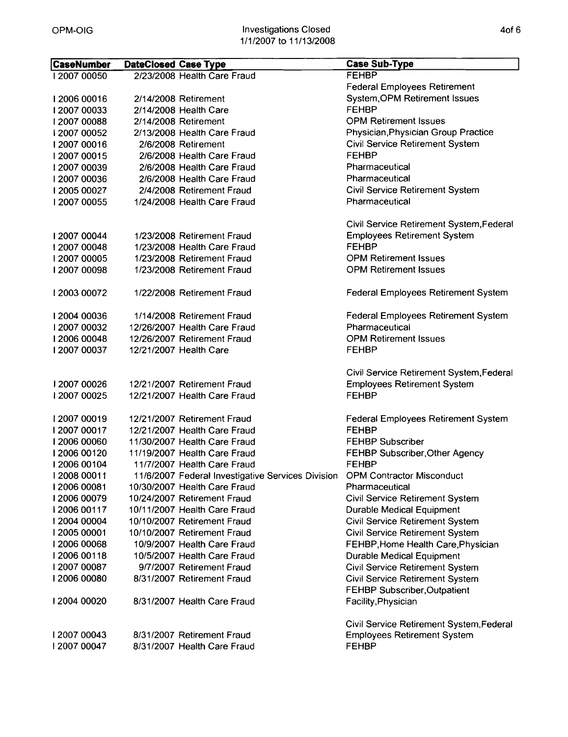| <b>CaseNumber</b> | <b>DateClosed Case Type</b> |                                                   | <b>Case Sub-Type</b>                                       |
|-------------------|-----------------------------|---------------------------------------------------|------------------------------------------------------------|
| 12007 00050       |                             | 2/23/2008 Health Care Fraud                       | <b>FEHBP</b>                                               |
|                   |                             |                                                   | <b>Federal Employees Retirement</b>                        |
| 12006 00016       |                             | 2/14/2008 Retirement                              | <b>System, OPM Retirement Issues</b>                       |
| 1200700033        |                             | 2/14/2008 Health Care                             | <b>FEHBP</b>                                               |
| 1200700088        |                             | 2/14/2008 Retirement                              | <b>OPM Retirement Issues</b>                               |
| 12007 00052       |                             | 2/13/2008 Health Care Fraud                       | Physician, Physician Group Practice                        |
| 12007 00016       |                             | 2/6/2008 Retirement                               | Civil Service Retirement System                            |
| 12007 00015       |                             | 2/6/2008 Health Care Fraud                        | <b>FEHBP</b>                                               |
| 1200700039        |                             | 2/6/2008 Health Care Fraud                        | Pharmaceutical                                             |
| 1200700036        |                             | 2/6/2008 Health Care Fraud                        | Pharmaceutical                                             |
| 12005 00027       |                             | 2/4/2008 Retirement Fraud                         | Civil Service Retirement System                            |
| 2007 00055        |                             | 1/24/2008 Health Care Fraud                       | Pharmaceutical                                             |
|                   |                             |                                                   |                                                            |
|                   |                             |                                                   | Civil Service Retirement System, Federal                   |
| 12007 00044       |                             | 1/23/2008 Retirement Fraud                        | <b>Employees Retirement System</b>                         |
| 1200700048        |                             | 1/23/2008 Health Care Fraud                       | <b>FEHBP</b>                                               |
| 2007 00005        |                             | 1/23/2008 Retirement Fraud                        | <b>OPM Retirement Issues</b>                               |
| 1200700098        |                             | 1/23/2008 Retirement Fraud                        | <b>OPM Retirement Issues</b>                               |
|                   |                             |                                                   |                                                            |
| 12003 00072       |                             | 1/22/2008 Retirement Fraud                        | <b>Federal Employees Retirement System</b>                 |
|                   |                             |                                                   |                                                            |
| 12004 00036       |                             | 1/14/2008 Retirement Fraud                        | <b>Federal Employees Retirement System</b>                 |
| 12007 00032       |                             | 12/26/2007 Health Care Fraud                      | Pharmaceutical                                             |
| 12006 00048       |                             | 12/26/2007 Retirement Fraud                       | <b>OPM Retirement Issues</b>                               |
| 1200700037        |                             | 12/21/2007 Health Care                            | <b>FEHBP</b>                                               |
|                   |                             |                                                   |                                                            |
|                   |                             |                                                   | Civil Service Retirement System, Federal                   |
| 1200700026        |                             | 12/21/2007 Retirement Fraud                       | <b>Employees Retirement System</b>                         |
| 1200700025        |                             | 12/21/2007 Health Care Fraud                      | <b>FEHBP</b>                                               |
| 12007 00019       |                             | 12/21/2007 Retirement Fraud                       |                                                            |
| 1200700017        |                             | 12/21/2007 Health Care Fraud                      | <b>Federal Employees Retirement System</b><br><b>FEHBP</b> |
| 12006 00060       |                             | 11/30/2007 Health Care Fraud                      | <b>FEHBP Subscriber</b>                                    |
| 12006 00120       |                             | 11/19/2007 Health Care Fraud                      | FEHBP Subscriber, Other Agency                             |
| 12006 00104       |                             | 11/7/2007 Health Care Fraud                       | <b>FEHBP</b>                                               |
| 12008 00011       |                             | 11/6/2007 Federal Investigative Services Division | <b>OPM Contractor Misconduct</b>                           |
| 12006 00081       |                             | 10/30/2007 Health Care Fraud                      | Pharmaceutical                                             |
| 12006 00079       |                             | 10/24/2007 Retirement Fraud                       | <b>Civil Service Retirement System</b>                     |
| 12006 00117       |                             | 10/11/2007 Health Care Fraud                      | <b>Durable Medical Equipment</b>                           |
| 12004 00004       |                             | 10/10/2007 Retirement Fraud                       | Civil Service Retirement System                            |
| 12005 00001       |                             | 10/10/2007 Retirement Fraud                       | <b>Civil Service Retirement System</b>                     |
| 12006 00068       |                             | 10/9/2007 Health Care Fraud                       | FEHBP, Home Health Care, Physician                         |
| 12006 00118       |                             | 10/5/2007 Health Care Fraud                       | <b>Durable Medical Equipment</b>                           |
| 1200700087        |                             | 9/7/2007 Retirement Fraud                         | <b>Civil Service Retirement System</b>                     |
| 12006 00080       |                             | 8/31/2007 Retirement Fraud                        | Civil Service Retirement System                            |
|                   |                             |                                                   | <b>FEHBP Subscriber, Outpatient</b>                        |
| 12004 00020       |                             | 8/31/2007 Health Care Fraud                       | Facility, Physician                                        |
|                   |                             |                                                   |                                                            |
|                   |                             |                                                   | Civil Service Retirement System, Federal                   |
| 1200700043        |                             | 8/31/2007 Retirement Fraud                        | <b>Employees Retirement System</b>                         |
| 1200700047        |                             | 8/31/2007 Health Care Fraud                       | <b>FEHBP</b>                                               |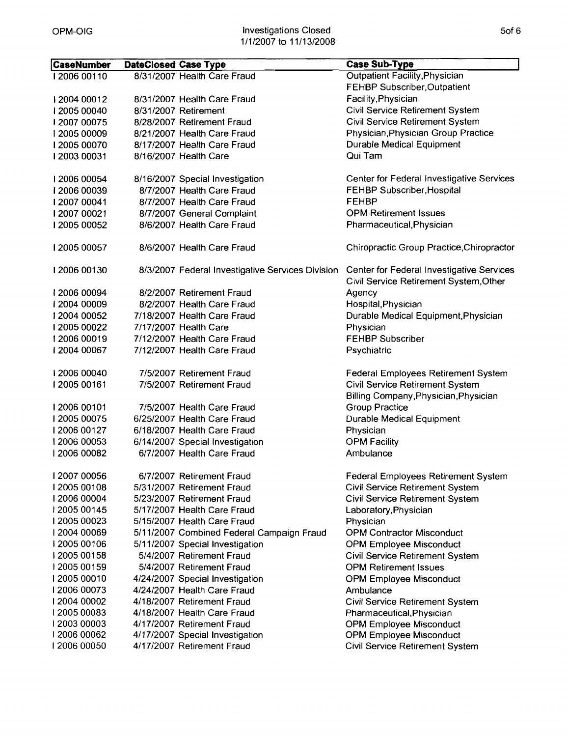| <b>CaseNumber</b> | <b>DateClosed Case Type</b> |                                                  | <b>Case Sub-Type</b>                                                                |
|-------------------|-----------------------------|--------------------------------------------------|-------------------------------------------------------------------------------------|
| 12006 00110       |                             | 8/31/2007 Health Care Fraud                      | <b>Outpatient Facility, Physician</b>                                               |
|                   |                             |                                                  | FEHBP Subscriber, Outpatient                                                        |
| 12004 00012       |                             | 8/31/2007 Health Care Fraud                      | Facility, Physician                                                                 |
| 12005 00040       |                             | 8/31/2007 Retirement                             | Civil Service Retirement System                                                     |
| 12007 00075       |                             | 8/28/2007 Retirement Fraud                       | Civil Service Retirement System                                                     |
| 12005 00009       |                             | 8/21/2007 Health Care Fraud                      | Physician, Physician Group Practice                                                 |
| 12005 00070       |                             | 8/17/2007 Health Care Fraud                      | Durable Medical Equipment                                                           |
| 12003 00031       |                             | 8/16/2007 Health Care                            | Qui Tam                                                                             |
| 12006 00054       |                             | 8/16/2007 Special Investigation                  | Center for Federal Investigative Services                                           |
| 12006 00039       |                             | 8/7/2007 Health Care Fraud                       | FEHBP Subscriber, Hospital                                                          |
| 12007 00041       |                             | 8/7/2007 Health Care Fraud                       | <b>FEHBP</b>                                                                        |
| 12007 00021       |                             | 8/7/2007 General Complaint                       | <b>OPM Retirement Issues</b>                                                        |
| 12005 00052       |                             | 8/6/2007 Health Care Fraud                       | Pharmaceutical, Physician                                                           |
| 12005 00057       |                             | 8/6/2007 Health Care Fraud                       | Chiropractic Group Practice, Chiropractor                                           |
| 12006 00130       |                             | 8/3/2007 Federal Investigative Services Division | Center for Federal Investigative Services<br>Civil Service Retirement System, Other |
| 12006 00094       |                             | 8/2/2007 Retirement Fraud                        | Agency                                                                              |
| 12004 00009       |                             | 8/2/2007 Health Care Fraud                       | Hospital, Physician                                                                 |
| 12004 00052       |                             | 7/18/2007 Health Care Fraud                      | Durable Medical Equipment, Physician                                                |
| 12005 00022       |                             | 7/17/2007 Health Care                            | Physician                                                                           |
| 12006 00019       |                             | 7/12/2007 Health Care Fraud                      | <b>FEHBP Subscriber</b>                                                             |
| 12004 00067       |                             | 7/12/2007 Health Care Fraud                      | Psychiatric                                                                         |
| 12006 00040       |                             | 7/5/2007 Retirement Fraud                        | <b>Federal Employees Retirement System</b>                                          |
| 12005 00161       |                             | 7/5/2007 Retirement Fraud                        | Civil Service Retirement System<br>Billing Company, Physician, Physician            |
| 12006 00101       |                             | 7/5/2007 Health Care Fraud                       | <b>Group Practice</b>                                                               |
| 12005 00075       |                             | 6/25/2007 Health Care Fraud                      | <b>Durable Medical Equipment</b>                                                    |
| 12006 00127       |                             | 6/18/2007 Health Care Fraud                      | Physician                                                                           |
| 12006 00053       |                             | 6/14/2007 Special Investigation                  | <b>OPM Facility</b>                                                                 |
| 12006 00082       |                             | 6/7/2007 Health Care Fraud                       | Ambulance                                                                           |
| 1200700056        |                             | 6/7/2007 Retirement Fraud                        | <b>Federal Employees Retirement System</b>                                          |
| 1200500108        |                             | 5/31/2007 Retirement Fraud                       | <b>Civil Service Retirement System</b>                                              |
| 12006 00004       |                             | 5/23/2007 Retirement Fraud                       | <b>Civil Service Retirement System</b>                                              |
| 12005 00145       |                             | 5/17/2007 Health Care Fraud                      | Laboratory, Physician                                                               |
| 1200500023        |                             | 5/15/2007 Health Care Fraud                      | Physician                                                                           |
| 12004 00069       |                             | 5/11/2007 Combined Federal Campaign Fraud        | <b>OPM Contractor Misconduct</b>                                                    |
| 1200500106        |                             | 5/11/2007 Special Investigation                  | <b>OPM Employee Misconduct</b>                                                      |
| 12005 00158       |                             | 5/4/2007 Retirement Fraud                        | Civil Service Retirement System                                                     |
| 12005 00159       |                             | 5/4/2007 Retirement Fraud                        | <b>OPM Retirement Issues</b>                                                        |
| 12005 00010       |                             | 4/24/2007 Special Investigation                  | <b>OPM Employee Misconduct</b>                                                      |
| 12006 00073       |                             | 4/24/2007 Health Care Fraud                      | Ambulance                                                                           |
| 12004 00002       |                             | 4/18/2007 Retirement Fraud                       | <b>Civil Service Retirement System</b>                                              |
| 1200500083        |                             | 4/18/2007 Health Care Fraud                      | Pharmaceutical, Physician                                                           |
| 1200300003        |                             | 4/17/2007 Retirement Fraud                       | <b>OPM Employee Misconduct</b>                                                      |
| 12006 00062       |                             | 4/17/2007 Special Investigation                  | <b>OPM Employee Misconduct</b>                                                      |
| 12006 00050       |                             | 4/17/2007 Retirement Fraud                       | Civil Service Retirement System                                                     |